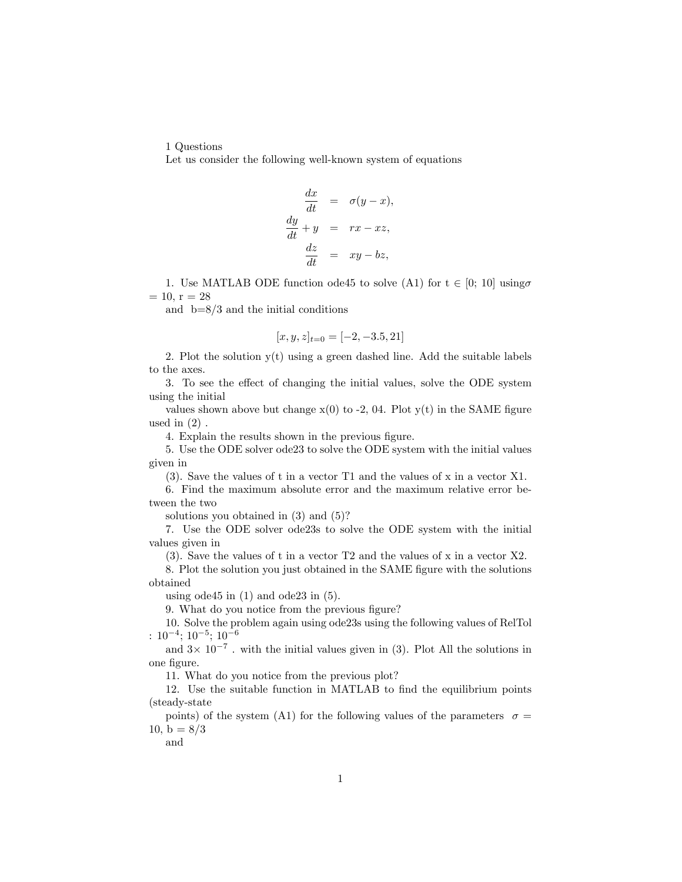1 Questions

Let us consider the following well-known system of equations

$$
\frac{dx}{dt} = \sigma(y - x),
$$
  

$$
\frac{dy}{dt} + y = rx - xz,
$$
  

$$
\frac{dz}{dt} = xy - bz,
$$

1. Use MATLAB ODE function ode45 to solve (A1) for  $t \in [0; 10]$  using  $= 10, r = 28$ 

and  $b=8/3$  and the initial conditions

$$
[x, y, z]_{t=0} = [-2, -3.5, 21]
$$

2. Plot the solution  $y(t)$  using a green dashed line. Add the suitable labels to the axes.

3. To see the effect of changing the initial values, solve the ODE system using the initial

values shown above but change  $x(0)$  to -2, 04. Plot  $y(t)$  in the SAME figure used in  $(2)$ .

4. Explain the results shown in the previous figure.

5. Use the ODE solver ode23 to solve the ODE system with the initial values given in

(3). Save the values of t in a vector T1 and the values of x in a vector X1.

6. Find the maximum absolute error and the maximum relative error between the two

solutions you obtained in (3) and (5)?

7. Use the ODE solver ode23s to solve the ODE system with the initial values given in

(3). Save the values of t in a vector T2 and the values of x in a vector X2.

8. Plot the solution you just obtained in the SAME figure with the solutions obtained

using ode45 in  $(1)$  and ode23 in  $(5)$ .

9. What do you notice from the previous figure?

10. Solve the problem again using ode23s using the following values of RelTol  $: 10^{-4}$ ;  $10^{-5}$ ;  $10^{-6}$ 

and  $3 \times 10^{-7}$ . with the initial values given in (3). Plot All the solutions in one Ögure.

11. What do you notice from the previous plot?

12. Use the suitable function in MATLAB to find the equilibrium points (steady-state

points) of the system (A1) for the following values of the parameters  $\sigma =$ 10,  $b = 8/3$ 

and